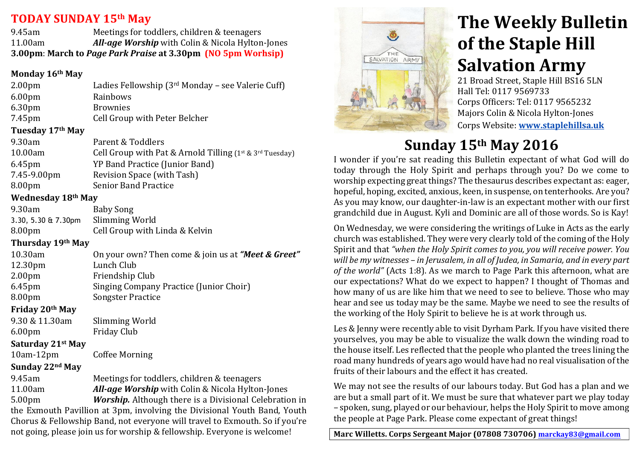### **TODAY SUNDAY&15th May &&**

9.45am Meetings for toddlers, children & teenagers 11.00am *All-age Worship* with Colin & Nicola Hylton-Jones **3.00pm**: March to *Page Park Praise* at 3.30pm (NO 5pm Worhsip)

#### **Monday&16th May**

| 2.00 <sub>pm</sub>           | Ladies Fellowship (3rd Monday - see Valerie Cuff)                                                           |
|------------------------------|-------------------------------------------------------------------------------------------------------------|
| 6.00 <sub>pm</sub>           | Rainbows                                                                                                    |
| 6.30pm                       | <b>Brownies</b>                                                                                             |
| 7.45pm                       | Cell Group with Peter Belcher                                                                               |
| Tuesday 17 <sup>th</sup> May |                                                                                                             |
| 9.30am                       | Parent & Toddlers                                                                                           |
| 10.00am                      | Cell Group with Pat & Arnold Tilling ( $1^{st}$ & $3^{rd}$ Tuesday)                                         |
| $C = 1$                      | $V\Gamma$ $D_{\text{max}}$ $J$ $D_{\text{max}}$ $L_{\text{max}}$ $(L_{\text{max}}$ $D_{\text{max}}$ $J$ $L$ |

- 6.45pm YP'Band'Practice'(Junior'Band) 7.45-9.00pm Revision Space (with Tash) 8.00pm Senior Band Practice
- 

# **Wednesday&18th May**

| 9.30am                 | Baby Song                      |
|------------------------|--------------------------------|
| 3.30, 5.30 $\&$ 7.30pm | Slimming World                 |
| 8.00 <sub>pm</sub>     | Cell Group with Linda & Kelvin |

### **Thursday&19th May**

| 10.30am             | On your own? Then come & join us at "Meet & Greet" |
|---------------------|----------------------------------------------------|
| 12.30 <sub>pm</sub> | Lunch Club                                         |
| 2.00 <sub>pm</sub>  | Friendship Club                                    |
| 6.45pm              | Singing Company Practice (Junior Choir)            |
| 8.00pm              | <b>Songster Practice</b>                           |
| Friday 20th May     |                                                    |
| 9.30 & 11.30am      | Slimming World                                     |
| 6.00 <sub>pm</sub>  | <b>Friday Club</b>                                 |

## **Saturday&21st May**

10am-12pm Coffee Morning

### **Sunday&22nd May**

9.45am Meetings for toddlers, children & teenagers 11.00am *All-age Worship* with Colin & Nicola Hylton-Jones 5.00pm *Worship.* Although there is a Divisional Celebration in the Exmouth Pavillion at 3pm, involving the Divisional Youth Band, Youth Chorus & Fellowship Band, not everyone will travel to Exmouth. So if you're not going, please join us for worship & fellowship. Everyone is welcome!



# **The Weekly Bulletin of the Staple Hill Salvation Army**

21 Broad Street, Staple Hill BS16 5LN Hall Tel: 0117 9569733 Corps Officers: Tel: 0117 9565232 Majors Colin & Nicola Hylton-Jones ''''' Corps'Website: **www.staplehillsa.uk**

# **Sunday&15th May 2016**

I wonder if you're sat reading this Bulletin expectant of what God will do today through the Holy Spirit and perhaps through you? Do we come to worship expecting great things? The thesaurus describes expectant as: eager, hopeful, hoping, excited, anxious, keen, in suspense, on tenterhooks. Are you? As you may know, our daughter-in-law is an expectant mother with our first grandchild due in August. Kyli and Dominic are all of those words. So is Kay!

On Wednesday, we were considering the writings of Luke in Acts as the early church was established. They were very clearly told of the coming of the Holy Spirit and that "when the Holy Spirit comes to you, you will receive power. You *will&be&my&witnesses&– in&Jerusalem, in all&of&Judea,&in&Samaria,&and&in&every&part&* of the world" (Acts 1:8). As we march to Page Park this afternoon, what are our expectations? What do we expect to happen? I thought of Thomas and how many of us are like him that we need to see to believe. Those who may hear and see us today may be the same. Maybe we need to see the results of the working of the Holy Spirit to believe he is at work through us.

Les & Jenny were recently able to visit Dyrham Park. If you have visited there yourselves, you may be able to visualize the walk down the winding road to the house itself. Les reflected that the people who planted the trees lining the road many hundreds of years ago would have had no real visualisation of the fruits of their labours and the effect it has created.

We may not see the results of our labours today. But God has a plan and we are but a small part of it. We must be sure that whatever part we play today – spoken, sung,'played'or'our'behaviour, helps the'Holy'Spirit'to'move'among' the people at Page Park. Please come expectant of great things!

Marc Willetts. Corps Sergeant Major (07808 730706) marckay83@gmail.com